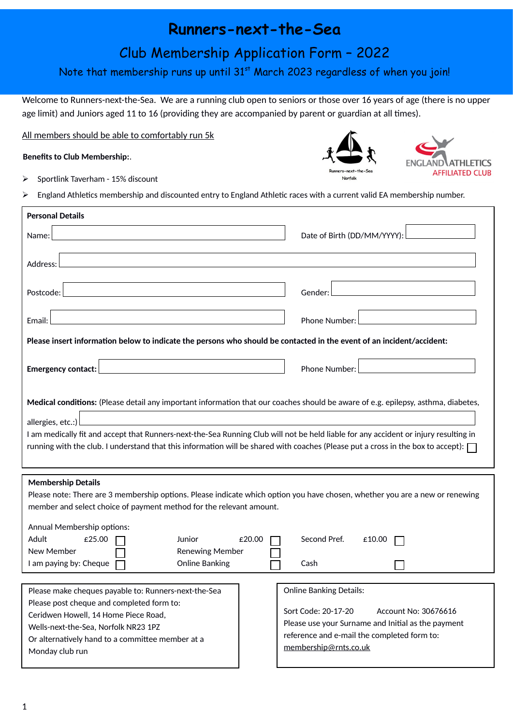# **Runners-next-the-Sea**

## Club Membership Application Form – 2022

## Note that membership runs up until 31<sup>st</sup> March 2023 regardless of when you join!

Welcome to Runners-next-the-Sea. We are a running club open to seniors or those over 16 years of age (there is no upper age limit) and Juniors aged 11 to 16 (providing they are accompanied by parent or guardian at all times).

Norfolk

**AFFILIATED CLUB** 

All members should be able to comfortably run 5k

**Benefits to Club Membership:**.

 $\triangleright$  Sportlink Taverham - 15% discount

England Athletics membership and discounted entry to England Athletic races with a current valid EA membership number.

| <b>Personal Details</b>                                                                                                                                                                                                                                                                                                                                                                                                                   |                                                                                                                                                                           |
|-------------------------------------------------------------------------------------------------------------------------------------------------------------------------------------------------------------------------------------------------------------------------------------------------------------------------------------------------------------------------------------------------------------------------------------------|---------------------------------------------------------------------------------------------------------------------------------------------------------------------------|
| Name:                                                                                                                                                                                                                                                                                                                                                                                                                                     | Date of Birth (DD/MM/YYYY):                                                                                                                                               |
| Address:                                                                                                                                                                                                                                                                                                                                                                                                                                  |                                                                                                                                                                           |
| Postcode:                                                                                                                                                                                                                                                                                                                                                                                                                                 | Gender:                                                                                                                                                                   |
| Email:                                                                                                                                                                                                                                                                                                                                                                                                                                    | Phone Number:                                                                                                                                                             |
| Please insert information below to indicate the persons who should be contacted in the event of an incident/accident:                                                                                                                                                                                                                                                                                                                     |                                                                                                                                                                           |
| <b>Emergency contact:</b>                                                                                                                                                                                                                                                                                                                                                                                                                 | Phone Number:                                                                                                                                                             |
| Medical conditions: (Please detail any important information that our coaches should be aware of e.g. epilepsy, asthma, diabetes,<br>allergies, etc.:)<br>I am medically fit and accept that Runners-next-the-Sea Running Club will not be held liable for any accident or injury resulting in<br>running with the club. I understand that this information will be shared with coaches (Please put a cross in the box to accept): $\Box$ |                                                                                                                                                                           |
| <b>Membership Details</b><br>Please note: There are 3 membership options. Please indicate which option you have chosen, whether you are a new or renewing<br>member and select choice of payment method for the relevant amount.<br>Annual Membership options:<br>Adult<br>£25.00<br>Second Pref.<br>Junior<br>£20.00<br>£10.00<br>New Member<br><b>Renewing Member</b><br><b>Online Banking</b><br>I am paying by: Cheque<br>Cash        |                                                                                                                                                                           |
| <b>Online Banking Details:</b><br>Please make cheques payable to: Runners-next-the-Sea                                                                                                                                                                                                                                                                                                                                                    |                                                                                                                                                                           |
| Please post cheque and completed form to:<br>Ceridwen Howell, 14 Home Piece Road,<br>Wells-next-the-Sea, Norfolk NR23 1PZ<br>Or alternatively hand to a committee member at a<br>Monday club run                                                                                                                                                                                                                                          | Sort Code: 20-17-20<br>Account No: 30676616<br>Please use your Surname and Initial as the payment<br>reference and e-mail the completed form to:<br>membership@rnts.co.uk |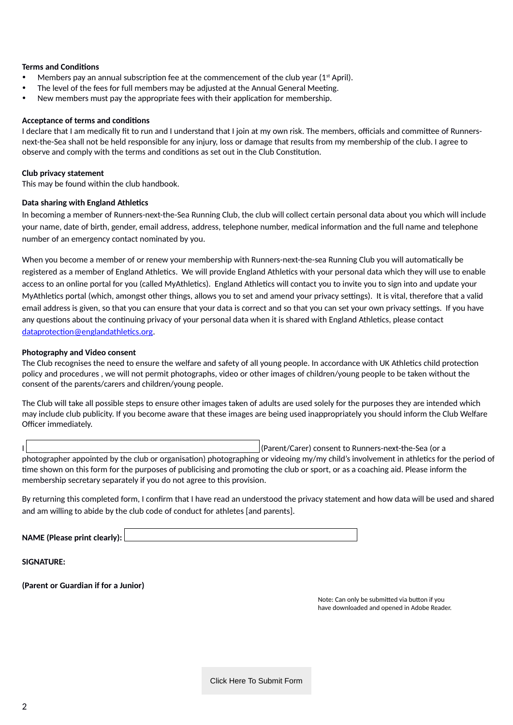### **Terms and Conditions**

- Members pay an annual subscription fee at the commencement of the club year ( $1<sup>st</sup>$  April).
- The level of the fees for full members may be adjusted at the Annual General Meeting.
- New members must pay the appropriate fees with their application for membership.

### **Acceptance of terms and conditions**

I declare that I am medically fit to run and I understand that I join at my own risk. The members, officials and committee of Runnersnext-the-Sea shall not be held responsible for any injury, loss or damage that results from my membership of the club. I agree to observe and comply with the terms and conditions as set out in the Club Constitution.

## **Club privacy statement**

This may be found within the club handbook.

## **Data sharing with England Athletics**

In becoming a member of Runners-next-the-Sea Running Club, the club will collect certain personal data about you which will include your name, date of birth, gender, email address, address, telephone number, medical information and the full name and telephone number of an emergency contact nominated by you.

When you become a member of or renew your membership with Runners-next-the-sea Running Club you will automatically be registered as a member of England Athletics. We will provide England Athletics with your personal data which they will use to enable access to an online portal for you (called MyAthletics). England Athletics will contact you to invite you to sign into and update your MyAthletics portal (which, amongst other things, allows you to set and amend your privacy settings). It is vital, therefore that a valid email address is given, so that you can ensure that your data is correct and so that you can set your own privacy settings. If you have any questions about the continuing privacy of your personal data when it is shared with England Athletics, please contact [dataprotection@englandathletics.org](mailto:dataprotection@englandathletics.org).

## **Photography and Video consent**

The Club recognises the need to ensure the welfare and safety of all young people. In accordance with UK Athletics child protection policy and procedures , we will not permit photographs, video or other images of children/young people to be taken without the consent of the parents/carers and children/young people.

The Club will take all possible steps to ensure other images taken of adults are used solely for the purposes they are intended which may include club publicity. If you become aware that these images are being used inappropriately you should inform the Club Welfare Officer immediately.

I (Parent/Carer) consent to Runners-next-the-Sea (or a

photographer appointed by the club or organisation) photographing or videoing my/my child's involvement in athletics for the period of time shown on this form for the purposes of publicising and promoting the club or sport, or as a coaching aid. Please inform the membership secretary separately if you do not agree to this provision.

By returning this completed form, I confirm that I have read an understood the privacy statement and how data will be used and shared and am willing to abide by the club code of conduct for athletes [and parents].

**NAME (Please print clearly):** 

**SIGNATURE:**

**(Parent or Guardian if for a Junior)**

Note: Can only be submitted via button if you have downloaded and opened in Adobe Reader.